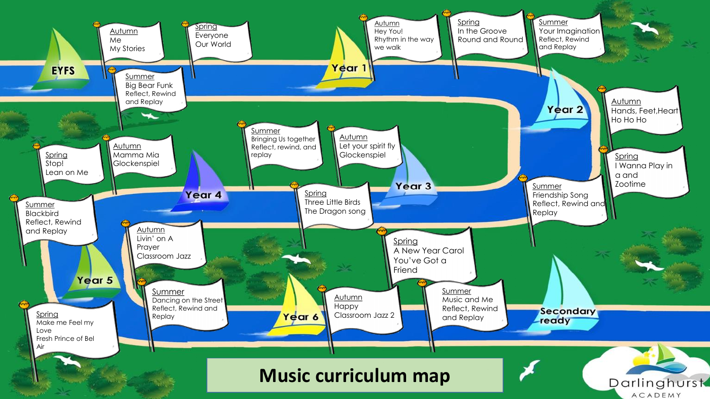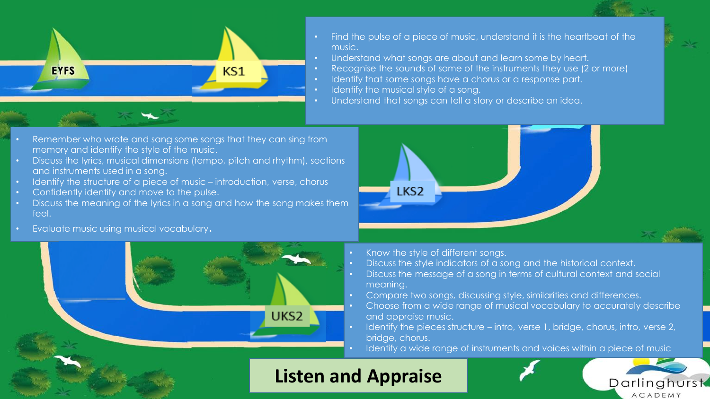

- Find the pulse of a piece of music, understand it is the heartbeat of the music.
- Understand what songs are about and learn some by heart.
- Recognise the sounds of some of the instruments they use (2 or more)
- Identify that some songs have a chorus or a response part.
- Identify the musical style of a song.

LKS<sub>2</sub>

Understand that songs can tell a story or describe an idea.



- Discuss the lyrics, musical dimensions (tempo, pitch and rhythm), sections and instruments used in a song.
- Identify the structure of a piece of music introduction, verse, chorus
- Confidently identify and move to the pulse.
- Discuss the meaning of the lyrics in a song and how the song makes them feel.
- Evaluate music using musical vocabulary.



- Know the style of different songs.
- Discuss the style indicators of a song and the historical context.
- Discuss the message of a song in terms of cultural context and social meaning.
- Compare two songs, discussing style, similarities and differences.
- Choose from a wide range of musical vocabulary to accurately describe and appraise music.
- Identify the pieces structure intro, verse 1, bridge, chorus, intro, verse 2, bridge, chorus.
	- Identify a wide range of instruments and voices within a piece of music

Darlinghurst **ACADEMY** 

## **Listen and Appraise**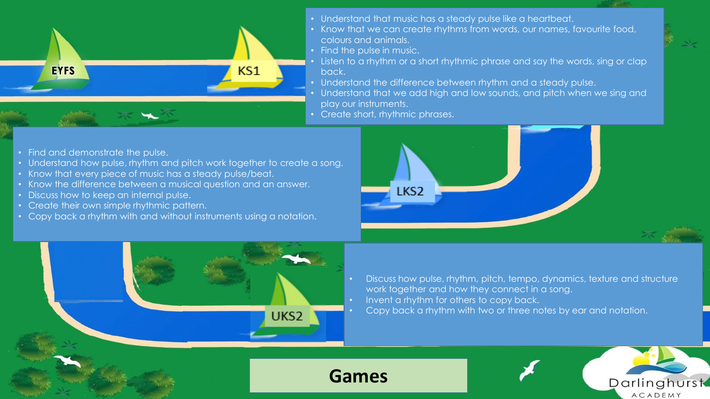

- Understand that music has a steady pulse like a heartbeat.
- Know that we can create rhythms from words, our names, favourite food, colours and animals.
- Find the pulse in music.

**Games**

- Listen to a rhythm or a short rhythmic phrase and say the words, sing or clap back.
- Understand the difference between rhythm and a steady pulse.
- Understand that we add high and low sounds, and pitch when we sing and play our instruments.
- Create short, rhythmic phrases.

- Find and demonstrate the pulse.
- Understand how pulse, rhythm and pitch work together to create a song.
- Know that every piece of music has a steady pulse/beat.
- Know the difference between a musical question and an answer.
- Discuss how to keep an internal pulse.
- Create their own simple rhythmic pattern.
- Copy back a rhythm with and without instruments using a notation.





• Discuss how pulse, rhythm, pitch, tempo, dynamics, texture and structure work together and how they connect in a song.

> Darlinghurst ACADEMY

- Invent a rhythm for others to copy back.
- Copy back a rhythm with two or three notes by ear and notation.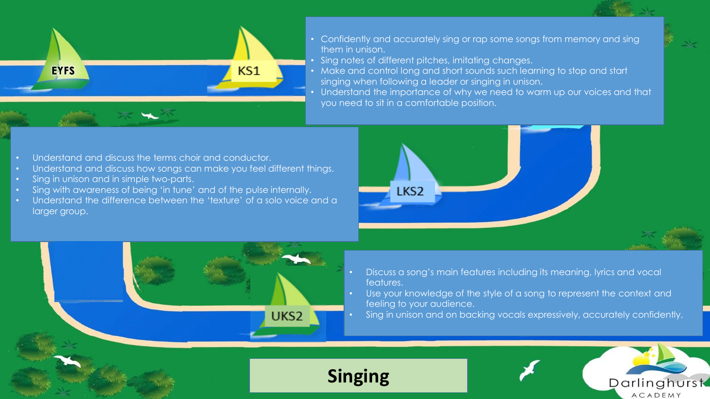

- Confidently and accurately sing or rap some songs from memory and sing them in unison.
- Sing notes of different pitches, imitating changes.

LKS<sub>2</sub>

- Make and control long and short sounds such learning to stop and start singing when following a leader or singing in unison.
- Understand the importance of why we need to warm up our voices and that you need to sit in a comfortable position.

- Understand and discuss the terms choir and conductor.
- Understand and discuss how songs can make you feel different things.
- Sing in unison and in simple two-parts.
- Sing with awareness of being 'in tune' and of the pulse internally.
- Understand the difference between the 'texture' of a solo voice and a larger group.



UKS<sub>2</sub>

- Discuss a song's main features including its meaning, lyrics and vocal features.
- Use your knowledge of the style of a song to represent the context and feeling to your audience.
- Sing in unison and on backing vocals expressively, accurately confidently.



**Singing**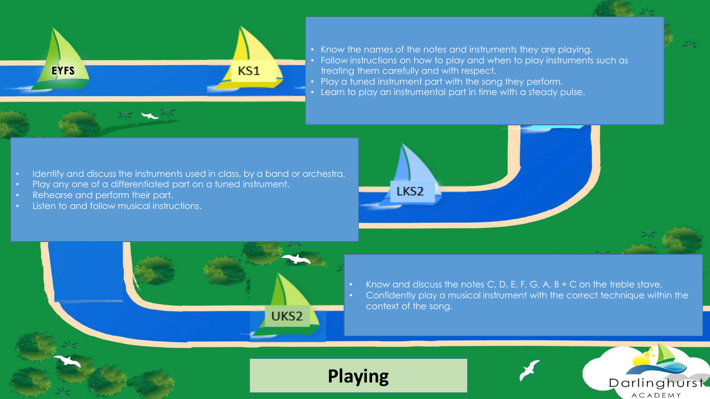

- Know the names of the notes and instruments they are playing. • Follow instructions on how to play and when to play instruments such as treating them carefully and with respect.
- Play a tuned instrument part with the song they perform.
- Learn to play an instrumental part in time with a steady pulse.

- Identify and discuss the instruments used in class, by a band or orchestra.
- Play any one of a differentiated part on a tuned instrument.
- Rehearse and perform their part.
- Listen to and follow musical instructions.





**Playing**

- Know and discuss the notes C, D, E, F, G, A,  $B + C$  on the treble stave.
- Confidently play a musical instrument with the correct technique within the context of the song.

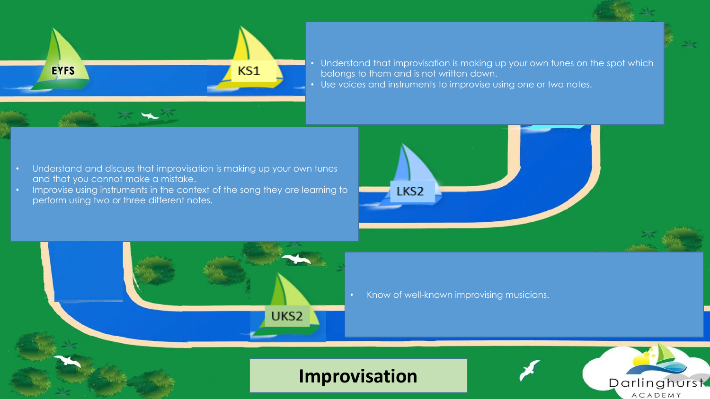

Understand that improvisation is making up your own tunes on the spot which belongs to them and is not written down. • Use voices and instruments to improvise using one or two notes.

- Understand and discuss that improvisation is making up your own tunes and that you cannot make a mistake.
- Improvise using instruments in the context of the song they are learning to perform using two or three different notes.



LKS2

**Improvisation**

UKS<sub>2</sub>

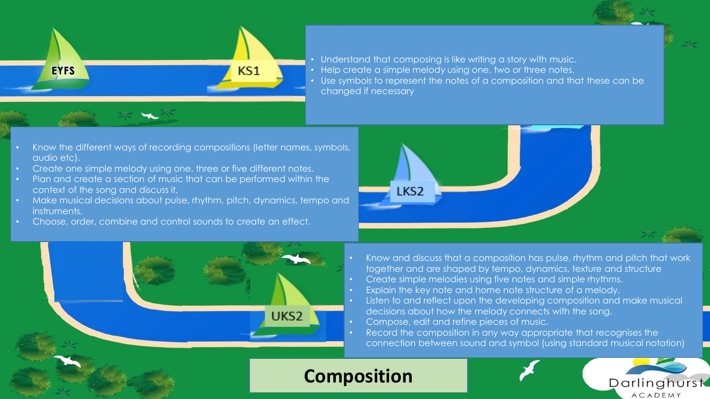

- Understand that composing is like writing a story with music.
- Help create a simple melody using one, two or three notes.
- Use symbols to represent the notes of a composition and that these can be changed if necessary

- Know the different ways of recording compositions (letter names, symbols, audio etc).
- Create one simple melody using one, three or five different notes.
- Plan and create a section of music that can be performed within the context of the song and discuss it.
- Make musical decisions about pulse, rhythm, pitch, dynamics, tempo and instruments.
- Choose, order, combine and control sounds to create an effect.





- Know and discuss that a composition has pulse, rhythm and pitch that work together and are shaped by tempo, dynamics, texture and structure
- Create simple melodies using five notes and simple rhythms.
- Explain the key note and home note structure of a melody.
- Listen to and reflect upon the developing composition and make musical decisions about how the melody connects with the song.
- Compose, edit and refine pieces of music.
- Record the composition in any way appropriate that recognises the connection between sound and symbol (using standard musical notation)

## **Composition**